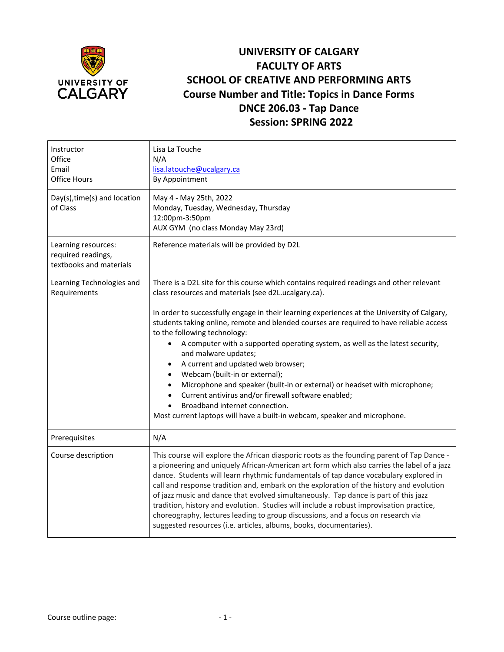

## **UNIVERSITY OF CALGARY FACULTY OF ARTS SCHOOL OF CREATIVE AND PERFORMING ARTS Course Number and Title: Topics in Dance Forms DNCE 206.03 - Tap Dance Session: SPRING 2022**

| Instructor<br>Office<br>Email<br><b>Office Hours</b><br>Day(s), time(s) and location | Lisa La Touche<br>N/A<br>lisa.latouche@ucalgary.ca<br>By Appointment<br>May 4 - May 25th, 2022                                                                                                                                                                                                                                                                                                                                                                                                                                                                                                                                                                                                                          |
|--------------------------------------------------------------------------------------|-------------------------------------------------------------------------------------------------------------------------------------------------------------------------------------------------------------------------------------------------------------------------------------------------------------------------------------------------------------------------------------------------------------------------------------------------------------------------------------------------------------------------------------------------------------------------------------------------------------------------------------------------------------------------------------------------------------------------|
| of Class                                                                             | Monday, Tuesday, Wednesday, Thursday<br>12:00pm-3:50pm<br>AUX GYM (no class Monday May 23rd)                                                                                                                                                                                                                                                                                                                                                                                                                                                                                                                                                                                                                            |
| Learning resources:<br>required readings,<br>textbooks and materials                 | Reference materials will be provided by D2L                                                                                                                                                                                                                                                                                                                                                                                                                                                                                                                                                                                                                                                                             |
| Learning Technologies and<br>Requirements                                            | There is a D2L site for this course which contains required readings and other relevant<br>class resources and materials (see d2L.ucalgary.ca).<br>In order to successfully engage in their learning experiences at the University of Calgary,                                                                                                                                                                                                                                                                                                                                                                                                                                                                          |
|                                                                                      | students taking online, remote and blended courses are required to have reliable access<br>to the following technology:<br>A computer with a supported operating system, as well as the latest security,<br>$\bullet$                                                                                                                                                                                                                                                                                                                                                                                                                                                                                                   |
|                                                                                      | and malware updates;<br>A current and updated web browser;<br>$\bullet$                                                                                                                                                                                                                                                                                                                                                                                                                                                                                                                                                                                                                                                 |
|                                                                                      | Webcam (built-in or external);                                                                                                                                                                                                                                                                                                                                                                                                                                                                                                                                                                                                                                                                                          |
|                                                                                      | Microphone and speaker (built-in or external) or headset with microphone;<br>Current antivirus and/or firewall software enabled;                                                                                                                                                                                                                                                                                                                                                                                                                                                                                                                                                                                        |
|                                                                                      | Broadband internet connection.<br>Most current laptops will have a built-in webcam, speaker and microphone.                                                                                                                                                                                                                                                                                                                                                                                                                                                                                                                                                                                                             |
| Prerequisites                                                                        | N/A                                                                                                                                                                                                                                                                                                                                                                                                                                                                                                                                                                                                                                                                                                                     |
| Course description                                                                   | This course will explore the African diasporic roots as the founding parent of Tap Dance -<br>a pioneering and uniquely African-American art form which also carries the label of a jazz<br>dance. Students will learn rhythmic fundamentals of tap dance vocabulary explored in<br>call and response tradition and, embark on the exploration of the history and evolution<br>of jazz music and dance that evolved simultaneously. Tap dance is part of this jazz<br>tradition, history and evolution. Studies will include a robust improvisation practice,<br>choreography, lectures leading to group discussions, and a focus on research via<br>suggested resources (i.e. articles, albums, books, documentaries). |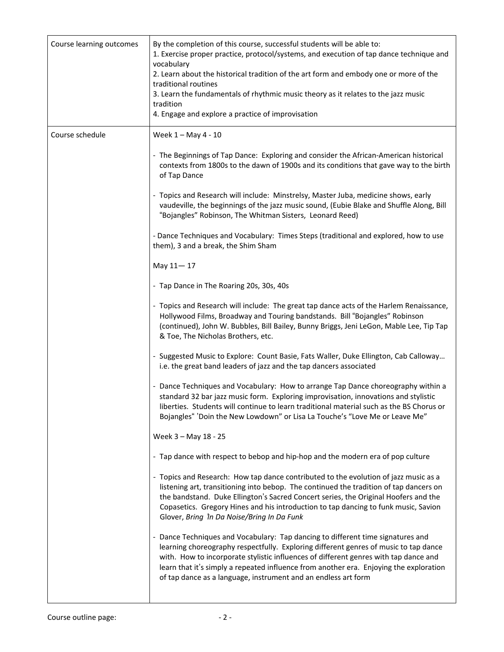| Course learning outcomes | By the completion of this course, successful students will be able to:<br>1. Exercise proper practice, protocol/systems, and execution of tap dance technique and<br>vocabulary<br>2. Learn about the historical tradition of the art form and embody one or more of the<br>traditional routines<br>3. Learn the fundamentals of rhythmic music theory as it relates to the jazz music<br>tradition<br>4. Engage and explore a practice of improvisation |
|--------------------------|----------------------------------------------------------------------------------------------------------------------------------------------------------------------------------------------------------------------------------------------------------------------------------------------------------------------------------------------------------------------------------------------------------------------------------------------------------|
| Course schedule          | Week 1 - May 4 - 10                                                                                                                                                                                                                                                                                                                                                                                                                                      |
|                          | - The Beginnings of Tap Dance: Exploring and consider the African-American historical<br>contexts from 1800s to the dawn of 1900s and its conditions that gave way to the birth<br>of Tap Dance                                                                                                                                                                                                                                                          |
|                          | - Topics and Research will include: Minstrelsy, Master Juba, medicine shows, early<br>vaudeville, the beginnings of the jazz music sound, (Eubie Blake and Shuffle Along, Bill<br>"Bojangles" Robinson, The Whitman Sisters, Leonard Reed)                                                                                                                                                                                                               |
|                          | - Dance Techniques and Vocabulary: Times Steps (traditional and explored, how to use<br>them), 3 and a break, the Shim Sham                                                                                                                                                                                                                                                                                                                              |
|                          | May 11-17                                                                                                                                                                                                                                                                                                                                                                                                                                                |
|                          | - Tap Dance in The Roaring 20s, 30s, 40s                                                                                                                                                                                                                                                                                                                                                                                                                 |
|                          | - Topics and Research will include: The great tap dance acts of the Harlem Renaissance,<br>Hollywood Films, Broadway and Touring bandstands. Bill "Bojangles" Robinson<br>(continued), John W. Bubbles, Bill Bailey, Bunny Briggs, Jeni LeGon, Mable Lee, Tip Tap<br>& Toe, The Nicholas Brothers, etc.                                                                                                                                                  |
|                          | - Suggested Music to Explore: Count Basie, Fats Waller, Duke Ellington, Cab Calloway<br>i.e. the great band leaders of jazz and the tap dancers associated                                                                                                                                                                                                                                                                                               |
|                          | - Dance Techniques and Vocabulary: How to arrange Tap Dance choreography within a<br>standard 32 bar jazz music form. Exploring improvisation, innovations and stylistic<br>liberties. Students will continue to learn traditional material such as the BS Chorus or<br>Bojangles" 'Doin the New Lowdown" or Lisa La Touche's "Love Me or Leave Me"                                                                                                      |
|                          | Week 3 - May 18 - 25                                                                                                                                                                                                                                                                                                                                                                                                                                     |
|                          | - Tap dance with respect to bebop and hip-hop and the modern era of pop culture                                                                                                                                                                                                                                                                                                                                                                          |
|                          | - Topics and Research: How tap dance contributed to the evolution of jazz music as a<br>listening art, transitioning into bebop. The continued the tradition of tap dancers on<br>the bandstand. Duke Ellington's Sacred Concert series, the Original Hoofers and the<br>Copasetics. Gregory Hines and his introduction to tap dancing to funk music, Savion<br>Glover, Bring 'In Da Noise/Bring In Da Funk                                              |
|                          | - Dance Techniques and Vocabulary: Tap dancing to different time signatures and<br>learning choreography respectfully. Exploring different genres of music to tap dance<br>with. How to incorporate stylistic influences of different genres with tap dance and<br>learn that it's simply a repeated influence from another era. Enjoying the exploration<br>of tap dance as a language, instrument and an endless art form                              |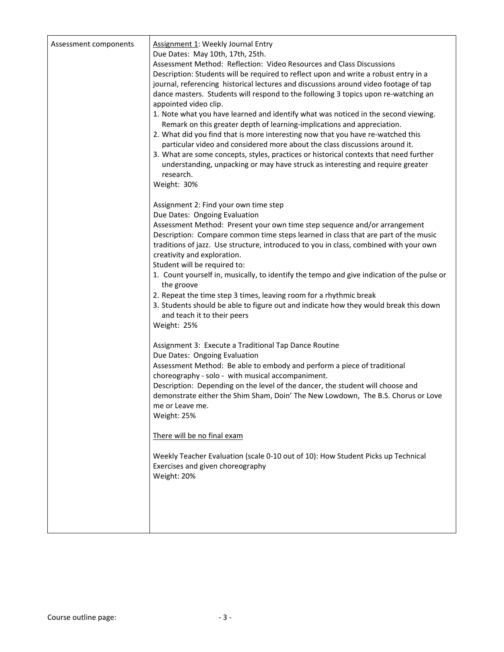| Assessment components | Assignment 1: Weekly Journal Entry<br>Due Dates: May 10th, 17th, 25th.<br>Assessment Method: Reflection: Video Resources and Class Discussions<br>Description: Students will be required to reflect upon and write a robust entry in a<br>journal, referencing historical lectures and discussions around video footage of tap<br>dance masters. Students will respond to the following 3 topics upon re-watching an<br>appointed video clip.<br>1. Note what you have learned and identify what was noticed in the second viewing.<br>Remark on this greater depth of learning-implications and appreciation.<br>2. What did you find that is more interesting now that you have re-watched this<br>particular video and considered more about the class discussions around it.<br>3. What are some concepts, styles, practices or historical contexts that need further<br>understanding, unpacking or may have struck as interesting and require greater<br>research.<br>Weight: 30% |
|-----------------------|-----------------------------------------------------------------------------------------------------------------------------------------------------------------------------------------------------------------------------------------------------------------------------------------------------------------------------------------------------------------------------------------------------------------------------------------------------------------------------------------------------------------------------------------------------------------------------------------------------------------------------------------------------------------------------------------------------------------------------------------------------------------------------------------------------------------------------------------------------------------------------------------------------------------------------------------------------------------------------------------|
|                       | Assignment 2: Find your own time step<br>Due Dates: Ongoing Evaluation<br>Assessment Method: Present your own time step sequence and/or arrangement<br>Description: Compare common time steps learned in class that are part of the music<br>traditions of jazz. Use structure, introduced to you in class, combined with your own<br>creativity and exploration.<br>Student will be required to:<br>1. Count yourself in, musically, to identify the tempo and give indication of the pulse or<br>the groove<br>2. Repeat the time step 3 times, leaving room for a rhythmic break<br>3. Students should be able to figure out and indicate how they would break this down<br>and teach it to their peers<br>Weight: 25%                                                                                                                                                                                                                                                               |
|                       | Assignment 3: Execute a Traditional Tap Dance Routine<br>Due Dates: Ongoing Evaluation<br>Assessment Method: Be able to embody and perform a piece of traditional<br>choreography - solo - with musical accompaniment.<br>Description: Depending on the level of the dancer, the student will choose and<br>demonstrate either the Shim Sham, Doin' The New Lowdown, The B.S. Chorus or Love<br>me or Leave me.<br>Weight: 25%<br>There will be no final exam<br>Weekly Teacher Evaluation (scale 0-10 out of 10): How Student Picks up Technical<br>Exercises and given choreography<br>Weight: 20%                                                                                                                                                                                                                                                                                                                                                                                    |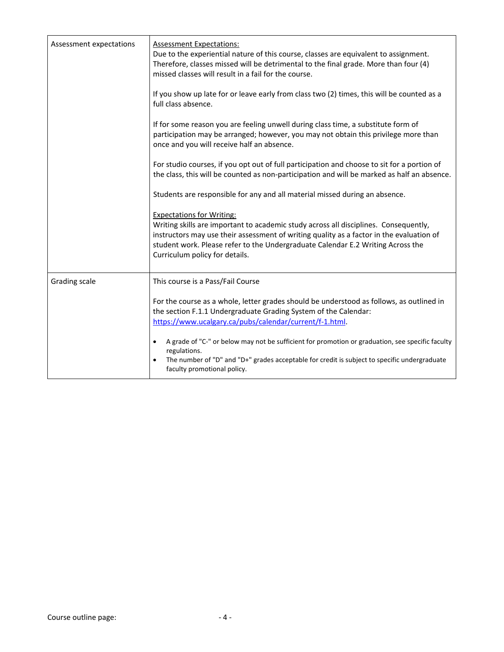| Assessment expectations | <b>Assessment Expectations:</b><br>Due to the experiential nature of this course, classes are equivalent to assignment.<br>Therefore, classes missed will be detrimental to the final grade. More than four (4)<br>missed classes will result in a fail for the course.                                                                   |
|-------------------------|-------------------------------------------------------------------------------------------------------------------------------------------------------------------------------------------------------------------------------------------------------------------------------------------------------------------------------------------|
|                         | If you show up late for or leave early from class two (2) times, this will be counted as a<br>full class absence.                                                                                                                                                                                                                         |
|                         | If for some reason you are feeling unwell during class time, a substitute form of<br>participation may be arranged; however, you may not obtain this privilege more than<br>once and you will receive half an absence.                                                                                                                    |
|                         | For studio courses, if you opt out of full participation and choose to sit for a portion of<br>the class, this will be counted as non-participation and will be marked as half an absence.                                                                                                                                                |
|                         | Students are responsible for any and all material missed during an absence.                                                                                                                                                                                                                                                               |
|                         | <b>Expectations for Writing:</b><br>Writing skills are important to academic study across all disciplines. Consequently,<br>instructors may use their assessment of writing quality as a factor in the evaluation of<br>student work. Please refer to the Undergraduate Calendar E.2 Writing Across the<br>Curriculum policy for details. |
| Grading scale           | This course is a Pass/Fail Course                                                                                                                                                                                                                                                                                                         |
|                         | For the course as a whole, letter grades should be understood as follows, as outlined in<br>the section F.1.1 Undergraduate Grading System of the Calendar:<br>https://www.ucalgary.ca/pubs/calendar/current/f-1.html.                                                                                                                    |
|                         | A grade of "C-" or below may not be sufficient for promotion or graduation, see specific faculty<br>$\bullet$<br>regulations.<br>The number of "D" and "D+" grades acceptable for credit is subject to specific undergraduate<br>faculty promotional policy.                                                                              |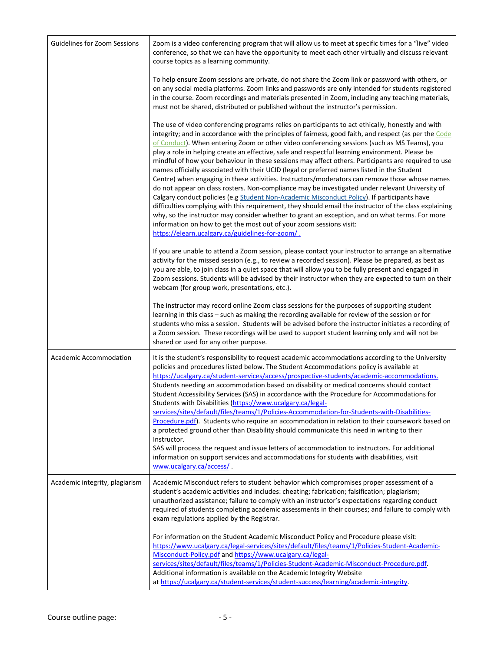| <b>Guidelines for Zoom Sessions</b> | Zoom is a video conferencing program that will allow us to meet at specific times for a "live" video<br>conference, so that we can have the opportunity to meet each other virtually and discuss relevant<br>course topics as a learning community.                                                                                                                                                                                                                                                                                                                                                                                                                                                                                                                                                                                                                                                                                                                                                                                                                                                                                                                                                                                                             |
|-------------------------------------|-----------------------------------------------------------------------------------------------------------------------------------------------------------------------------------------------------------------------------------------------------------------------------------------------------------------------------------------------------------------------------------------------------------------------------------------------------------------------------------------------------------------------------------------------------------------------------------------------------------------------------------------------------------------------------------------------------------------------------------------------------------------------------------------------------------------------------------------------------------------------------------------------------------------------------------------------------------------------------------------------------------------------------------------------------------------------------------------------------------------------------------------------------------------------------------------------------------------------------------------------------------------|
|                                     | To help ensure Zoom sessions are private, do not share the Zoom link or password with others, or<br>on any social media platforms. Zoom links and passwords are only intended for students registered<br>in the course. Zoom recordings and materials presented in Zoom, including any teaching materials,<br>must not be shared, distributed or published without the instructor's permission.                                                                                                                                                                                                                                                                                                                                                                                                                                                                                                                                                                                                                                                                                                                                                                                                                                                                 |
|                                     | The use of video conferencing programs relies on participants to act ethically, honestly and with<br>integrity; and in accordance with the principles of fairness, good faith, and respect (as per the Code<br>of Conduct). When entering Zoom or other video conferencing sessions (such as MS Teams), you<br>play a role in helping create an effective, safe and respectful learning environment. Please be<br>mindful of how your behaviour in these sessions may affect others. Participants are required to use<br>names officially associated with their UCID (legal or preferred names listed in the Student<br>Centre) when engaging in these activities. Instructors/moderators can remove those whose names<br>do not appear on class rosters. Non-compliance may be investigated under relevant University of<br>Calgary conduct policies (e.g Student Non-Academic Misconduct Policy). If participants have<br>difficulties complying with this requirement, they should email the instructor of the class explaining<br>why, so the instructor may consider whether to grant an exception, and on what terms. For more<br>information on how to get the most out of your zoom sessions visit:<br>https://elearn.ucalgary.ca/guidelines-for-zoom/. |
|                                     | If you are unable to attend a Zoom session, please contact your instructor to arrange an alternative<br>activity for the missed session (e.g., to review a recorded session). Please be prepared, as best as<br>you are able, to join class in a quiet space that will allow you to be fully present and engaged in<br>Zoom sessions. Students will be advised by their instructor when they are expected to turn on their<br>webcam (for group work, presentations, etc.).                                                                                                                                                                                                                                                                                                                                                                                                                                                                                                                                                                                                                                                                                                                                                                                     |
|                                     | The instructor may record online Zoom class sessions for the purposes of supporting student<br>learning in this class - such as making the recording available for review of the session or for<br>students who miss a session. Students will be advised before the instructor initiates a recording of<br>a Zoom session. These recordings will be used to support student learning only and will not be<br>shared or used for any other purpose.                                                                                                                                                                                                                                                                                                                                                                                                                                                                                                                                                                                                                                                                                                                                                                                                              |
| <b>Academic Accommodation</b>       | It is the student's responsibility to request academic accommodations according to the University<br>policies and procedures listed below. The Student Accommodations policy is available at<br>https://ucalgary.ca/student-services/access/prospective-students/academic-accommodations.<br>Students needing an accommodation based on disability or medical concerns should contact<br>Student Accessibility Services (SAS) in accordance with the Procedure for Accommodations for<br>Students with Disabilities (https://www.ucalgary.ca/legal-<br>services/sites/default/files/teams/1/Policies-Accommodation-for-Students-with-Disabilities-<br>Procedure.pdf). Students who require an accommodation in relation to their coursework based on<br>a protected ground other than Disability should communicate this need in writing to their<br>Instructor.<br>SAS will process the request and issue letters of accommodation to instructors. For additional<br>information on support services and accommodations for students with disabilities, visit                                                                                                                                                                                                  |
| Academic integrity, plagiarism      | www.ucalgary.ca/access/.<br>Academic Misconduct refers to student behavior which compromises proper assessment of a                                                                                                                                                                                                                                                                                                                                                                                                                                                                                                                                                                                                                                                                                                                                                                                                                                                                                                                                                                                                                                                                                                                                             |
|                                     | student's academic activities and includes: cheating; fabrication; falsification; plagiarism;<br>unauthorized assistance; failure to comply with an instructor's expectations regarding conduct<br>required of students completing academic assessments in their courses; and failure to comply with<br>exam regulations applied by the Registrar.                                                                                                                                                                                                                                                                                                                                                                                                                                                                                                                                                                                                                                                                                                                                                                                                                                                                                                              |
|                                     | For information on the Student Academic Misconduct Policy and Procedure please visit:<br>https://www.ucalgary.ca/legal-services/sites/default/files/teams/1/Policies-Student-Academic-<br>Misconduct-Policy.pdf and https://www.ucalgary.ca/legal-                                                                                                                                                                                                                                                                                                                                                                                                                                                                                                                                                                                                                                                                                                                                                                                                                                                                                                                                                                                                              |
|                                     | services/sites/default/files/teams/1/Policies-Student-Academic-Misconduct-Procedure.pdf.<br>Additional information is available on the Academic Integrity Website<br>at https://ucalgary.ca/student-services/student-success/learning/academic-integrity.                                                                                                                                                                                                                                                                                                                                                                                                                                                                                                                                                                                                                                                                                                                                                                                                                                                                                                                                                                                                       |